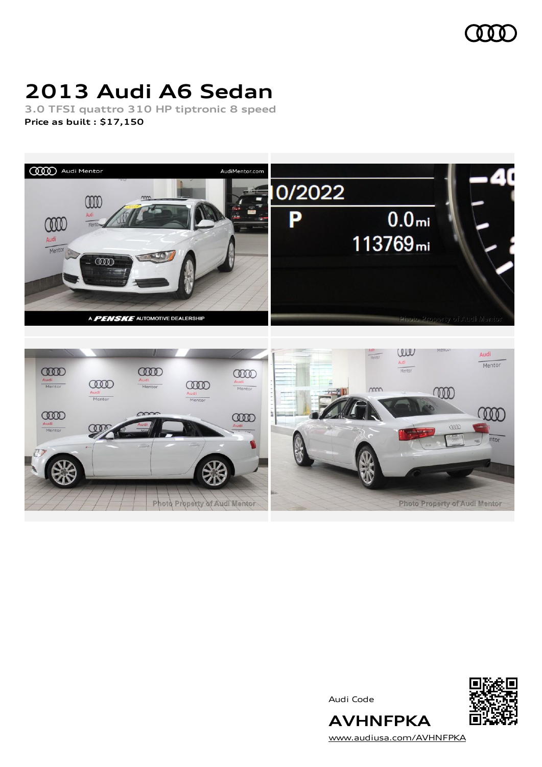

# **2013 Audi A6 Sedan**

**3.0 TFSI quattro 310 HP tiptronic 8 speed Price as built [:](#page-10-0) \$17,150**



Audi Code



[www.audiusa.com/AVHNFPKA](https://www.audiusa.com/AVHNFPKA)

**AVHNFPKA**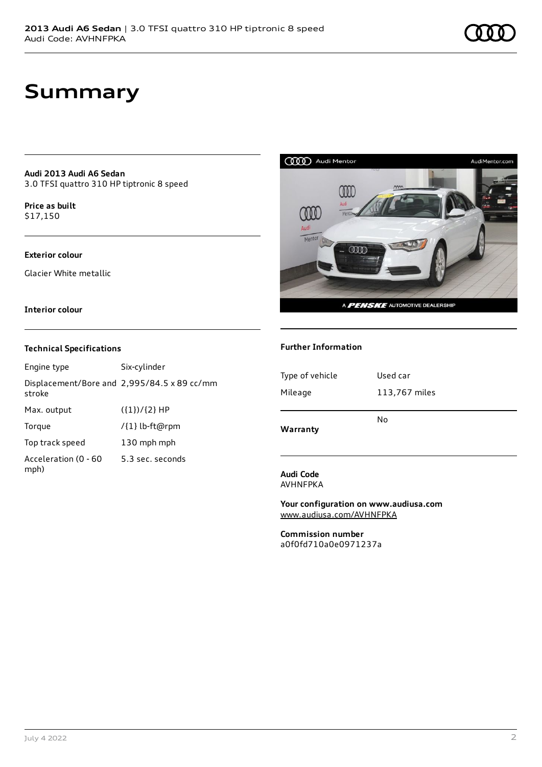# **Summary**

**Audi 2013 Audi A6 Sedan** 3.0 TFSI quattro 310 HP tiptronic 8 speed

**Price as buil[t](#page-10-0)** \$17,150

### **Exterior colour**

Glacier White metallic

### **Interior colour**

### **Technical Specifications**

| Engine type                  | Six-cylinder                                |
|------------------------------|---------------------------------------------|
| stroke                       | Displacement/Bore and 2,995/84.5 x 89 cc/mm |
| Max. output                  | $({1})/{2}$ HP                              |
| Torque                       | /{1} lb-ft@rpm                              |
| Top track speed              | 130 mph mph                                 |
| Acceleration (0 - 60<br>mph) | 5.3 sec. seconds                            |



### **Further Information**

| Type of vehicle | Used car      |
|-----------------|---------------|
| Mileage         | 113,767 miles |
| Warranty        | No            |

#### **Audi Code** AVHNFPKA

**Your configuration on www.audiusa.com** [www.audiusa.com/AVHNFPKA](https://www.audiusa.com/AVHNFPKA)

**Commission number** a0f0fd710a0e0971237a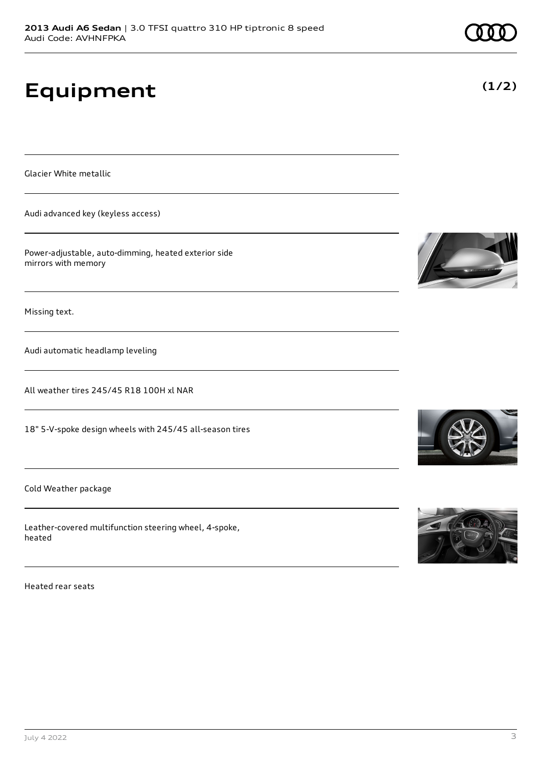# **Equipment**

Glacier White metallic

Audi advanced key (keyless access)

Power-adjustable, auto-dimming, heated exterior side mirrors with memory

Missing text.

Audi automatic headlamp leveling

All weather tires 245/45 R18 100H xl NAR

18" 5-V-spoke design wheels with 245/45 all-season tires

Cold Weather package

Leather-covered multifunction steering wheel, 4-spoke, heated

Heated rear seats











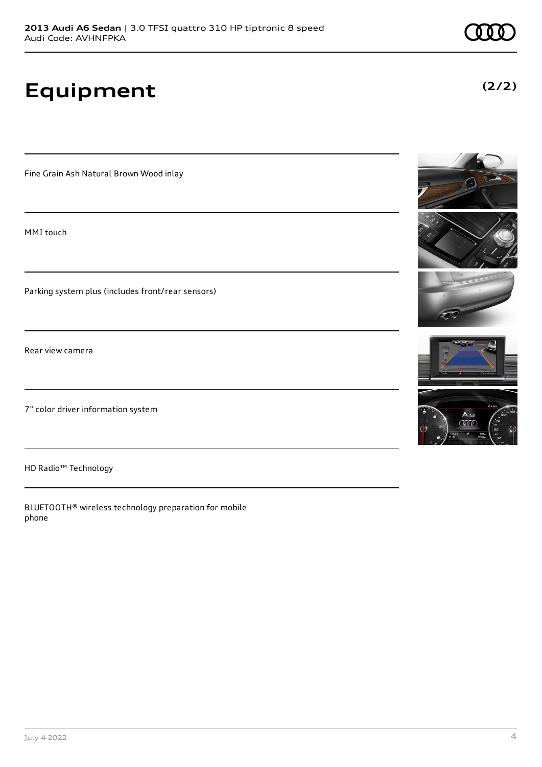**Equipment**

Fine Grain Ash Natural Brown Wood inlay

MMI touch

Parking system plus (includes front/rear sensors)

Rear view camera

7" color driver information system

HD Radio™ Technology

BLUETOOTH® wireless technology preparation for mobile phone





**(2/2)**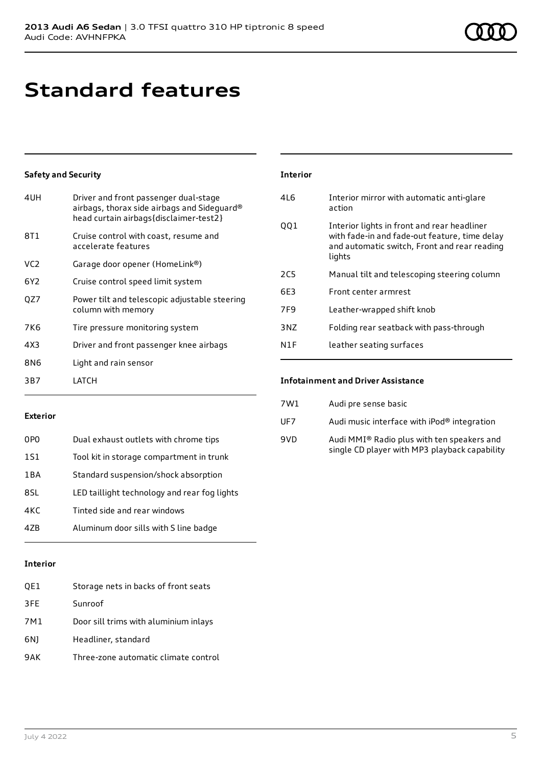# **Standard features**

## **Safety and Security**

| 4UH             | Driver and front passenger dual-stage<br>airbags, thorax side airbags and Sideguard®<br>head curtain airbags{disclaimer-test2} |
|-----------------|--------------------------------------------------------------------------------------------------------------------------------|
| 8T1             | Cruise control with coast, resume and<br>accelerate features                                                                   |
| VC <sub>2</sub> | Garage door opener (HomeLink®)                                                                                                 |
| 6Y2             | Cruise control speed limit system                                                                                              |
| OZ7             | Power tilt and telescopic adjustable steering<br>column with memory                                                            |
| 7K6             | Tire pressure monitoring system                                                                                                |
| 4X3             | Driver and front passenger knee airbags                                                                                        |
| 8N6             | Light and rain sensor                                                                                                          |
| 3B7             | LATCH                                                                                                                          |

### **Interior**

| 416 | Interior mirror with automatic anti-glare<br>action                                                                                                    |
|-----|--------------------------------------------------------------------------------------------------------------------------------------------------------|
| QQ1 | Interior lights in front and rear headliner<br>with fade-in and fade-out feature, time delay<br>and automatic switch, Front and rear reading<br>lights |
| 2C5 | Manual tilt and telescoping steering column                                                                                                            |
| 6E3 | Front center armrest                                                                                                                                   |
| 7F9 | Leather-wrapped shift knob                                                                                                                             |
| 3NZ | Folding rear seatback with pass-through                                                                                                                |
| N1F | leather seating surfaces                                                                                                                               |

#### **Exterior**

| 0PO   | Dual exhaust outlets with chrome tips        |
|-------|----------------------------------------------|
| 1S1   | Tool kit in storage compartment in trunk     |
| 1 B A | Standard suspension/shock absorption         |
| 8.SI  | LED taillight technology and rear fog lights |
| 4KC   | Tinted side and rear windows                 |
| 47R   | Aluminum door sills with S line badge        |

## **Interior**

| QE1 | Storage nets in backs of front seats  |
|-----|---------------------------------------|
| 3FE | Sunroof                               |
| 7M1 | Door sill trims with aluminium inlays |
| 6N) | Headliner, standard                   |
| 9AK | Three-zone automatic climate control  |

#### **Infotainment and Driver Assistance**

| 7W1 | Audi pre sense basic                                                                        |
|-----|---------------------------------------------------------------------------------------------|
| UF7 | Audi music interface with iPod® integration                                                 |
| 9VD | Audi MMI® Radio plus with ten speakers and<br>single CD player with MP3 playback capability |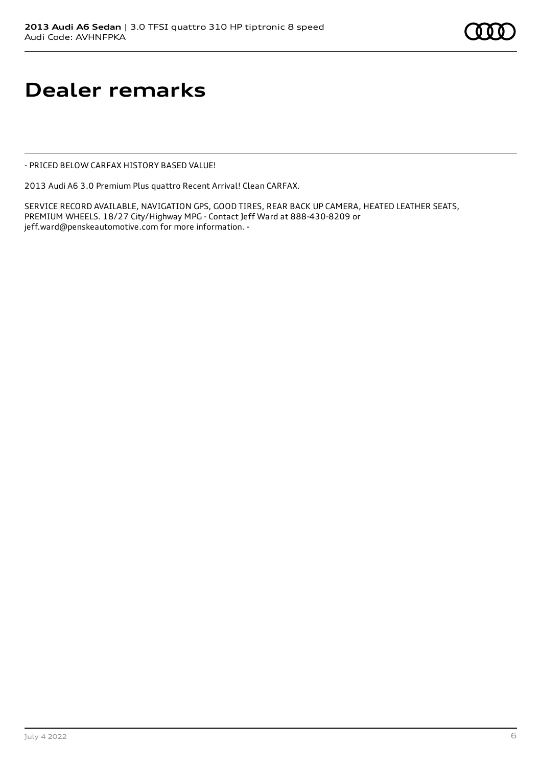# **Dealer remarks**

- PRICED BELOW CARFAX HISTORY BASED VALUE!

2013 Audi A6 3.0 Premium Plus quattro Recent Arrival! Clean CARFAX.

SERVICE RECORD AVAILABLE, NAVIGATION GPS, GOOD TIRES, REAR BACK UP CAMERA, HEATED LEATHER SEATS, PREMIUM WHEELS. 18/27 City/Highway MPG - Contact Jeff Ward at 888-430-8209 or jeff.ward@penskeautomotive.com for more information. -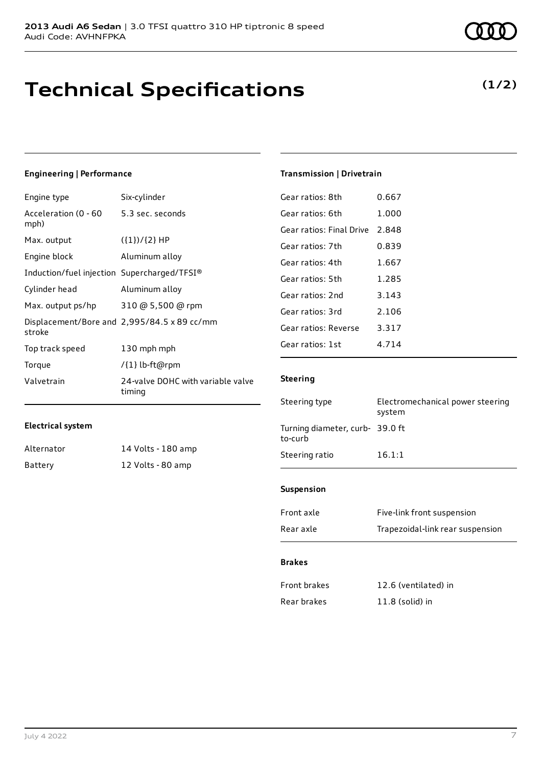## **Technical Specifications**

## **Engineering | Performance**

| Engine type                                 | Six-cylinder                                |
|---------------------------------------------|---------------------------------------------|
| Acceleration (0 - 60<br>mph)                | 5.3 sec. seconds                            |
| Max. output                                 | $({1})/{2}$ HP                              |
| Engine block                                | Aluminum alloy                              |
| Induction/fuel injection Supercharged/TFSI® |                                             |
| Cylinder head                               | Aluminum alloy                              |
| Max. output ps/hp                           | 310 @ 5,500 @ rpm                           |
| stroke                                      | Displacement/Bore and 2,995/84.5 x 89 cc/mm |
| Top track speed                             | 130 mph mph                                 |
| Torque                                      | /{1} lb-ft@rpm                              |
| Valvetrain                                  | 24-valve DOHC with variable valve<br>timing |

## **Electrical system**

| Alternator | 14 Volts - 180 amp |
|------------|--------------------|
| Battery    | 12 Volts - 80 amp  |

#### Gear ratios: 8th 0.667

| uedi idlius. Olii        | v.oo7 |
|--------------------------|-------|
| Gear ratios: 6th         | 1.000 |
| Gear ratios: Final Drive | 2.848 |
| Gear ratios: 7th         | 0.839 |
| Gear ratios: 4th         | 1.667 |
| Gear ratios: 5th         | 1.285 |
| Gear ratios: 2nd         | 3.143 |
| Gear ratios: 3rd         | 2.106 |
| Gear ratios: Reverse     | 3.317 |
| Gear ratios: 1st         | 4.714 |
|                          |       |

**Transmission | Drivetrain**

## **Steering**

| Steering type                              | Electromechanical power steering<br>system |
|--------------------------------------------|--------------------------------------------|
| Turning diameter, curb- 39.0 ft<br>to-curb |                                            |
| Steering ratio                             | 16.1:1                                     |

#### **Suspension**

| Front axle | Five-link front suspension       |
|------------|----------------------------------|
| Rear axle  | Trapezoidal-link rear suspension |

## **Brakes**

| Front brakes | 12.6 (ventilated) in |
|--------------|----------------------|
| Rear brakes  | $11.8$ (solid) in    |



## **(1/2)**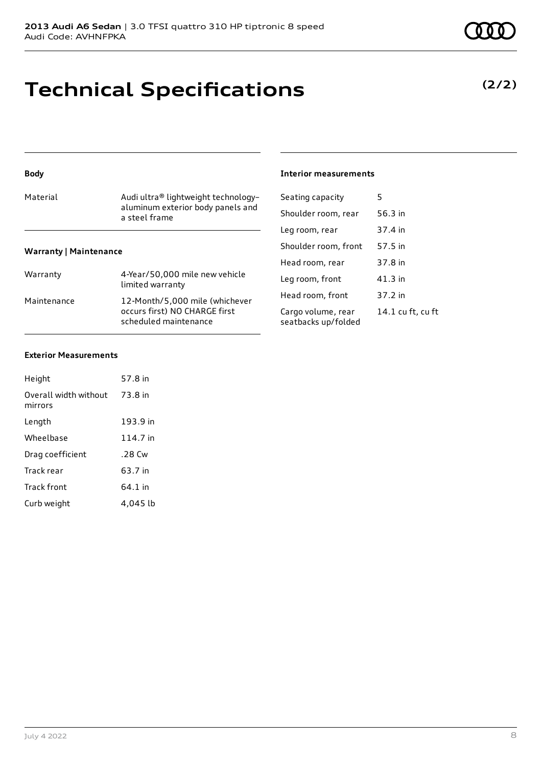# **Technical Specifications**

| <b>Body</b>                   |                                                        | <b>Interior</b>     |
|-------------------------------|--------------------------------------------------------|---------------------|
| Material                      | Audi ultra® lightweight technology-                    | Seating             |
|                               | aluminum exterior body panels and<br>a steel frame     | Shoulde             |
|                               |                                                        | Leg roor            |
| <b>Warranty   Maintenance</b> |                                                        | Shoulde             |
|                               |                                                        | Head ro             |
| Warranty                      | 4-Year/50,000 mile new vehicle<br>limited warranty     | Leg roor            |
| Maintenance                   | 12-Month/5,000 mile (whichever                         | Head ro             |
|                               | occurs first) NO CHARGE first<br>scheduled maintenance | Cargo vo<br>seatbac |

## **Interior measurements**

| Seating capacity                          | 5                 |
|-------------------------------------------|-------------------|
| Shoulder room, rear                       | 56.3 in           |
| Leg room, rear                            | 37.4 in           |
| Shoulder room, front                      | 57.5 in           |
| Head room, rear                           | 37.8 in           |
| Leg room, front                           | $41.3$ in         |
| Head room, front                          | 37.2 in           |
| Cargo volume, rear<br>seatbacks up/folded | 14.1 cu ft, cu ft |

#### **Exterior Measurements**

| Height                           | 57.8 in  |
|----------------------------------|----------|
| Overall width without<br>mirrors | 73.8 in  |
| Length                           | 193.9 in |
| Wheelbase                        | 114.7 in |
| Drag coefficient                 | .28 Cw   |
| Track rear                       | 63.7 in  |
| Track front                      | 64.1 in  |
| Curb weight                      | 4.045 lb |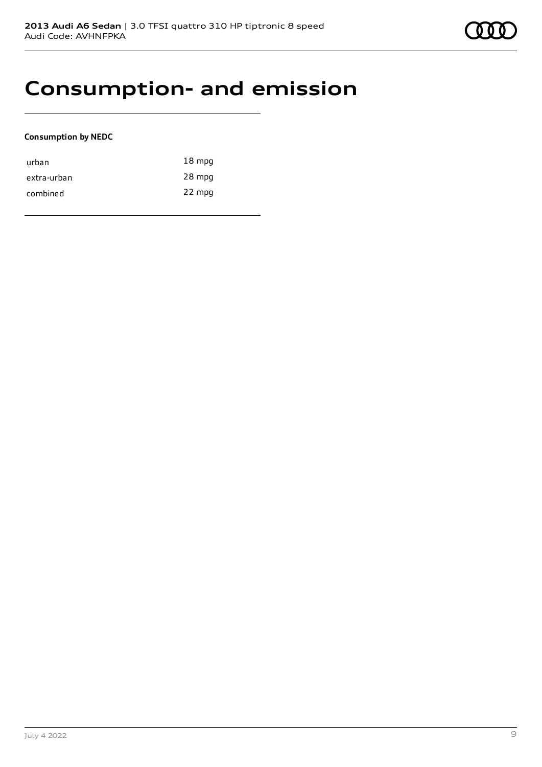

## **Consumption- and emission**

## **Consumption by NEDC**

| urban       | $18 \text{ mpg}$ |
|-------------|------------------|
| extra-urban | 28 mpg           |
| combined    | 22 mpg           |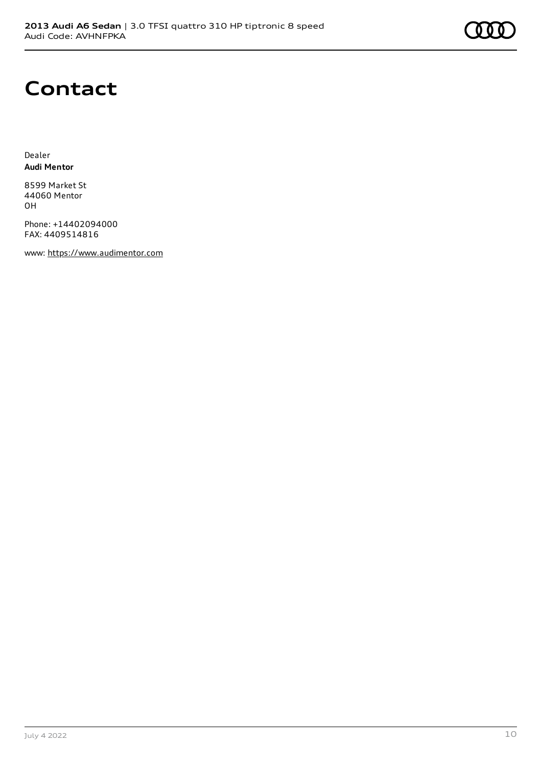

## **Contact**

Dealer **Audi Mentor**

8599 Market St 44060 Mentor OH

Phone: +14402094000 FAX: 4409514816

www: [https://www.audimentor.com](https://www.audimentor.com/)